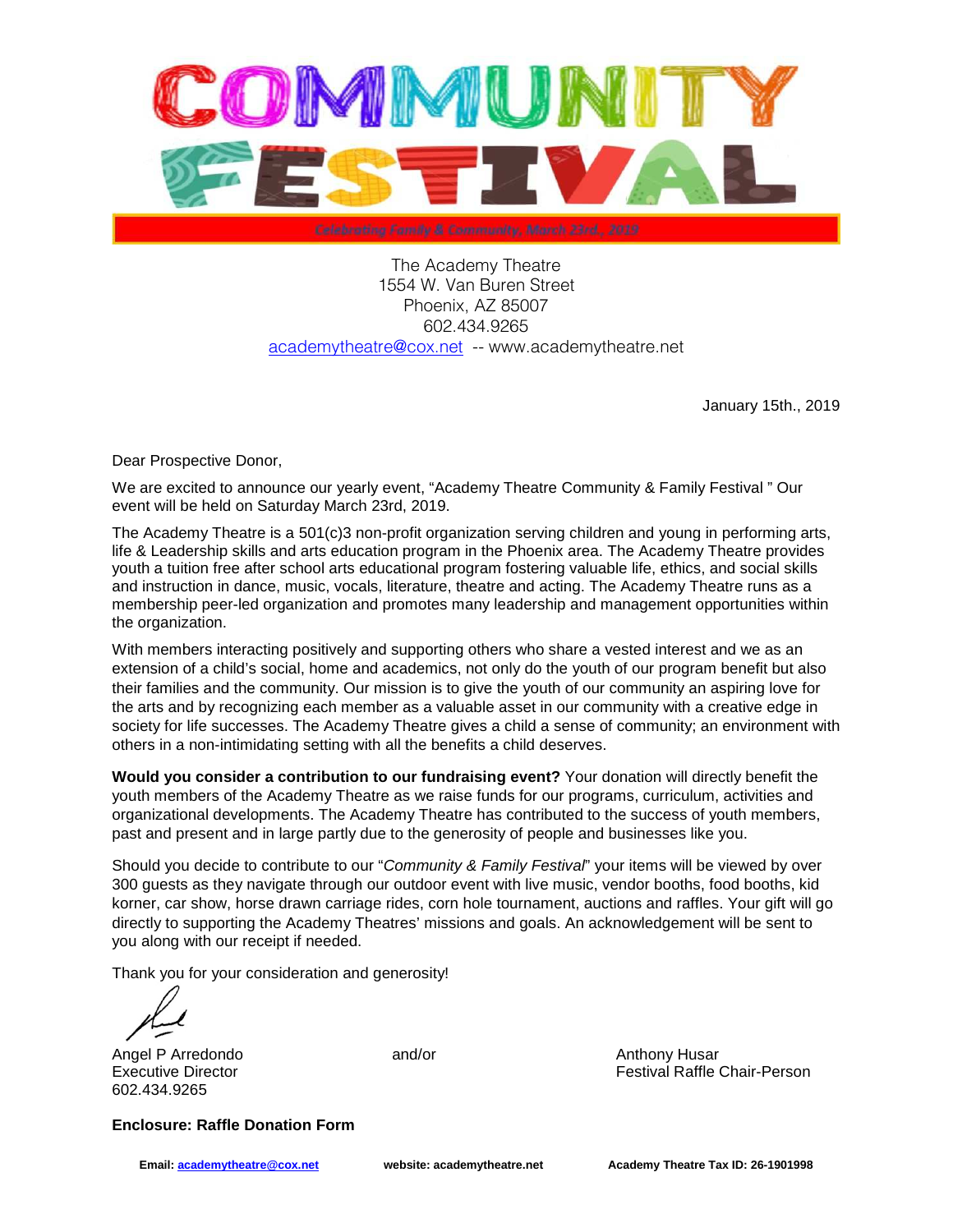

The Academy Theatre 1554 W. Van Buren Street Phoenix, AZ 85007 602.434.9265 academytheatre@cox.net -- www.academytheatre.net

January 15th., 2019

Dear Prospective Donor,

We are excited to announce our yearly event, "Academy Theatre Community & Family Festival " Our event will be held on Saturday March 23rd, 2019.

The Academy Theatre is a 501(c)3 non-profit organization serving children and young in performing arts, life & Leadership skills and arts education program in the Phoenix area. The Academy Theatre provides youth a tuition free after school arts educational program fostering valuable life, ethics, and social skills and instruction in dance, music, vocals, literature, theatre and acting. The Academy Theatre runs as a membership peer-led organization and promotes many leadership and management opportunities within the organization.

With members interacting positively and supporting others who share a vested interest and we as an extension of a child's social, home and academics, not only do the youth of our program benefit but also their families and the community. Our mission is to give the youth of our community an aspiring love for the arts and by recognizing each member as a valuable asset in our community with a creative edge in society for life successes. The Academy Theatre gives a child a sense of community; an environment with others in a non-intimidating setting with all the benefits a child deserves.

**Would you consider a contribution to our fundraising event?** Your donation will directly benefit the youth members of the Academy Theatre as we raise funds for our programs, curriculum, activities and organizational developments. The Academy Theatre has contributed to the success of youth members, past and present and in large partly due to the generosity of people and businesses like you.

Should you decide to contribute to our "Community & Family Festival" your items will be viewed by over 300 guests as they navigate through our outdoor event with live music, vendor booths, food booths, kid korner, car show, horse drawn carriage rides, corn hole tournament, auctions and raffles. Your gift will go directly to supporting the Academy Theatres' missions and goals. An acknowledgement will be sent to you along with our receipt if needed.

Thank you for your consideration and generosity!

Angel P Arredondo **and/or** Anthony Husar 602.434.9265

Executive Director **Festival Raffle Chair-Person** Festival Raffle Chair-Person

**Enclosure: Raffle Donation Form**